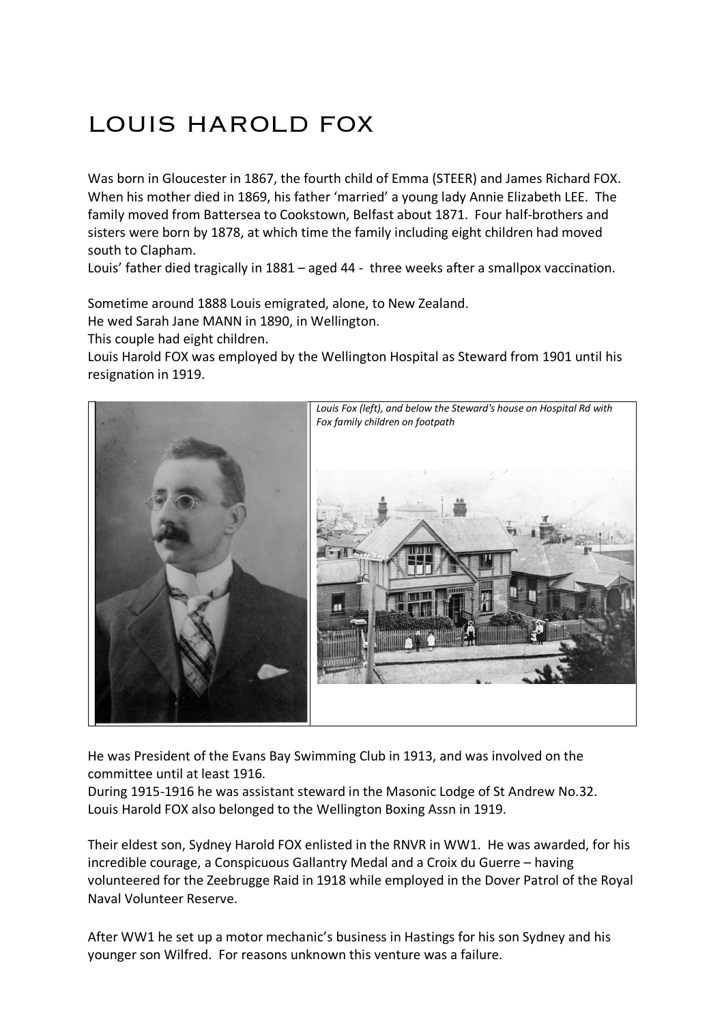## LOUIS HAROLD FOX

Was born in Gloucester in 1867, the fourth child of Emma (STEER) and James Richard FOX. When his mother died in 1869, his father 'married' a young lady Annie Elizabeth LEE. The family moved from Battersea to Cookstown, Belfast about 1871. Four half-brothers and sisters were born by 1878, at which time the family including eight children had moved south to Clapham.

Louis' father died tragically in 1881 – aged 44 - three weeks after a smallpox vaccination.

Sometime around 1888 Louis emigrated, alone, to New Zealand.

He wed Sarah Jane MANN in 1890, in Wellington.

This couple had eight children.

Louis Harold FOX was employed by the Wellington Hospital as Steward from 1901 until his resignation in 1919.



He was President of the Evans Bay Swimming Club in 1913, and was involved on the committee until at least 1916.

During 1915-1916 he was assistant steward in the Masonic Lodge of St Andrew No.32. Louis Harold FOX also belonged to the Wellington Boxing Assn in 1919.

Their eldest son, Sydney Harold FOX enlisted in the RNVR in WW1. He was awarded, for his incredible courage, a Conspicuous Gallantry Medal and a Croix du Guerre – having volunteered for the Zeebrugge Raid in 1918 while employed in the Dover Patrol of the Royal Naval Volunteer Reserve.

After WW1 he set up a motor mechanic's business in Hastings for his son Sydney and his younger son Wilfred. For reasons unknown this venture was a failure.